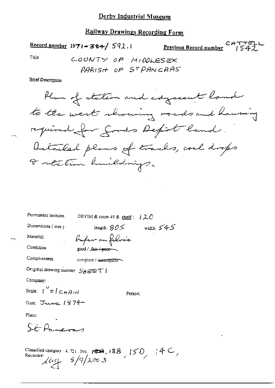### Derby Industrial Museum

#### Railway Drawings Recording Form

 $\frac{\text{Record number}}{1971 - 384}$  592.1

Previous Record number

 $CATTEL$ 

Tide

COUNTY OF MIDDLESEX PARISH OF STPANCRAS

**Brief Description** 

Plan of station and edgacemt land to the west showing roads and having required for goods Depot land. Detailed plans of tracks, couldrops I retation huildings.

Permanent location DBYIM & room 49 & shelf:  $120$ Dimensions (mm) length:  $805$  width:  $545$ Material - *Profer* on folocée Condition −200d / فنعثه / 200d Completeness complete / incermplete Original drawing number  $S_H \boxminus \boxdot \top$ Company: Scale:  $\int_{0}^{t} f(t) dt \leq \int_{0}^{t} f(t) dt$ Person: Date:  $J_{\text{turb}}$  1974 Place:  $SÉP$ Classified category:  $4.721.301$ ,  $\cancel{839}$ ,  $\cancel{138}$ ,  $\cancel{150}$ ,  $\cancel{140}$ , Recorder  $\mu_{\text{eq}}$   $s/q/x\omega$  3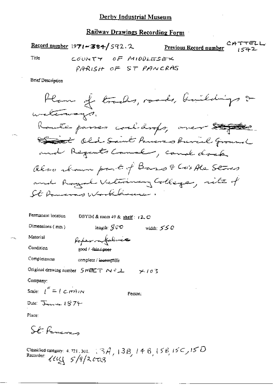$\frac{\text{Record number}}{1971 - 384}$  592.2 Previous Record number COUNTY OF MIDDLESEX Title PARISH OF ST PANCRAS **Brief Description**  $\hat{V}$  a  $\hat{V}$  and  $\hat{V}$  and  $\hat{V}$ Ωo

Permanent location DBYIM & room 49 & shelf: (2, C) Dimensions  $(mn)$ length:  $\mathcal{G} \cup \mathcal{O}$ width:  $550$ Material Peperom folice Condition good / fair / poor Completeness complete / incomplete Original drawing number  $S H^{\text{HET}} \sim 2L$   $\sim 10.3$ Company: Scale:  $\iota'' = \iota \circ \iota \circ \iota$ Person:

Date: January 1874

Place:

St. Feneren

Classified category: 4, 721, 301. [3A, 13B, 14B, 15B, 15C, 15D<br>Recorder:  $\ell \ell \ell \ell \leq 5/9/2$  603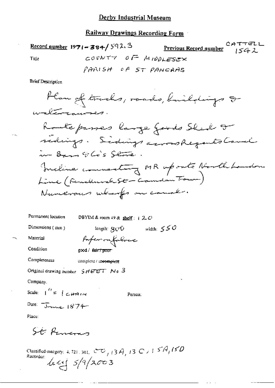Record number  $1971 - 384 / 592.3$ Previous Record number  $1542$ COUNTY OF MIDDLESEX Title PARISH OF ST PANCAAS

**Brief Description** 

Ham of tracks, roads, buildings & waltercourses. Route passes large fords Sled I sidings. Sidings across Regents Cavil in Bars Elis Store. Incline connecting MR uponto Northbounder Line (Renderwelste-Camden Tour) Numerous which on canal.

Permanent location DBYIM & room 49 & shelf:  $+2$  C length:  $\text{GUT}$  width:  $\text{GUT}$ Dimensions (mm) Material fafer on falres Condition good / fair / pour Completeness complete / meomplete Original drawing number  $5HETT$  Ne 3 Company. Scale:  $\int_0^{t_1} z^{-1}$  c,  $\theta$ Person: Date: June 1874 Place:

St Panem

Classified category: 4, 721, 301,  $\mathbb{C}$   $\mathbb{C}$   $_1$  + 3  $A$ , + 3  $C$   $>$  1  $5^7A$ ,  $15^7D$ Recorder  $let f 5/9/2003$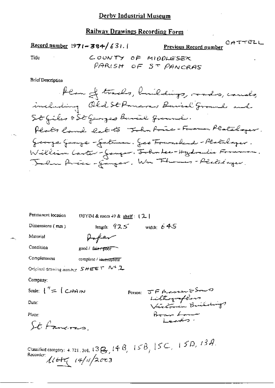Record number  $1971 - 384 / 631.1$ 

Previous Record number

CATTELL

Title

COUNTY OF MIDDLESEX PARISH OF 5T PANCRAS

**Brief Description** 

| Permanent location                                                                                                   | DBYIM & room $+9$ & shelf : $[2]$   |  |
|----------------------------------------------------------------------------------------------------------------------|-------------------------------------|--|
| Dimensions (mm)                                                                                                      | width: $645$<br>length: $92.5$      |  |
| Material                                                                                                             | Hoper                               |  |
| Condition                                                                                                            | good / fair / poor                  |  |
| Completeness                                                                                                         | complete / issecuptete"             |  |
| Original drawing number $SHEET$ M <sup>+</sup> 2                                                                     |                                     |  |
| Company:                                                                                                             |                                     |  |
| Scale: $\binom{n}{k}$ (CHAIN                                                                                         | JF Massen & Sound<br>Person:        |  |
| Date:                                                                                                                | Liltographers<br>Victoria Buildings |  |
| Place:                                                                                                               | Bear Low                            |  |
| St Paverno                                                                                                           | الصهيب                              |  |
| Classified category: 4, 721, 301, $13\beta$ , $14B$ , $15B$ , $15C$ , $15D$ , $13A$ .<br>Recorder:<br>1147 (4/4)2003 |                                     |  |